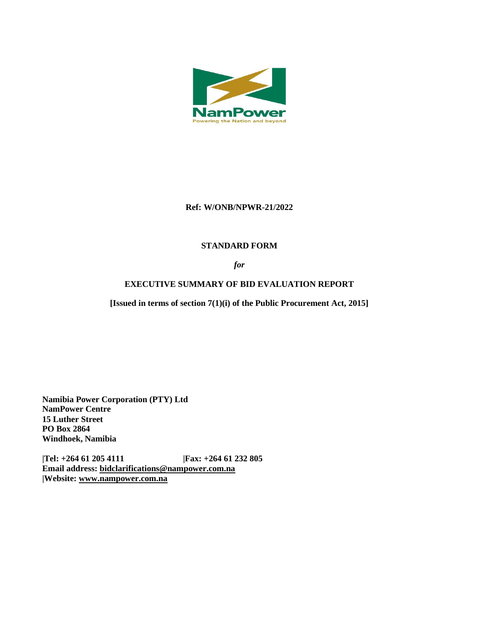

### **Ref: W/ONB/NPWR-21/2022**

# **STANDARD FORM**

*for*

# **EXECUTIVE SUMMARY OF BID EVALUATION REPORT**

**[Issued in terms of section 7(1)(i) of the Public Procurement Act, 2015]** 

**Namibia Power Corporation (PTY) Ltd NamPower Centre 15 Luther Street PO Box 2864 Windhoek, Namibia**

**|Tel: +264 61 205 4111 |Fax: +264 61 232 805 Email address: [bidclarifications@nampower.com.na](mailto:bidclarifications@nampower.com.na) |Website: [www.n](http://www./)ampower.com.na**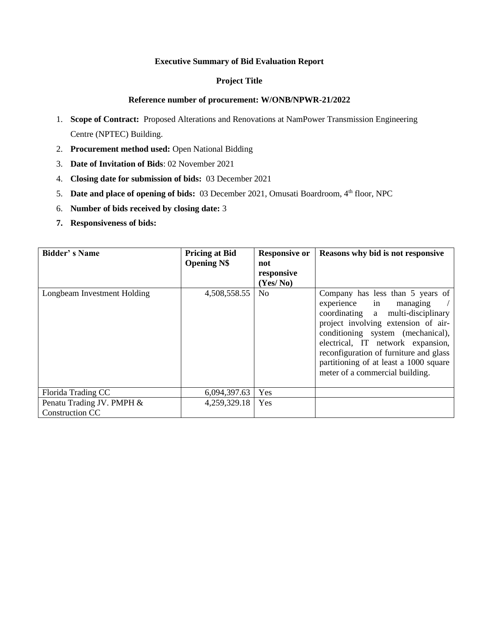### **Executive Summary of Bid Evaluation Report**

### **Project Title**

#### **Reference number of procurement: W/ONB/NPWR-21/2022**

- 1. **Scope of Contract:** Proposed Alterations and Renovations at NamPower Transmission Engineering Centre (NPTEC) Building.
- 2. **Procurement method used:** Open National Bidding
- 3. **Date of Invitation of Bids**: 02 November 2021
- 4. **Closing date for submission of bids:** 03 December 2021
- 5. **Date and place of opening of bids:** 03 December 2021, Omusati Boardroom, 4<sup>th</sup> floor, NPC
- 6. **Number of bids received by closing date:** 3
- **7. Responsiveness of bids:**

| <b>Bidder's Name</b>                                | <b>Pricing at Bid</b><br><b>Opening N\$</b> | <b>Responsive or</b><br>not | Reasons why bid is not responsive                                                                                                                                                                                                                                                                                                       |  |
|-----------------------------------------------------|---------------------------------------------|-----------------------------|-----------------------------------------------------------------------------------------------------------------------------------------------------------------------------------------------------------------------------------------------------------------------------------------------------------------------------------------|--|
|                                                     |                                             | responsive                  |                                                                                                                                                                                                                                                                                                                                         |  |
|                                                     |                                             | (Yes/No)                    |                                                                                                                                                                                                                                                                                                                                         |  |
| Longbeam Investment Holding                         | 4,508,558.55                                | N <sub>o</sub>              | Company has less than 5 years of<br>experience in managing<br>coordinating a multi-disciplinary<br>project involving extension of air-<br>conditioning system (mechanical),<br>electrical, IT network expansion,<br>reconfiguration of furniture and glass<br>partitioning of at least a 1000 square<br>meter of a commercial building. |  |
| Florida Trading CC                                  | 6,094,397.63                                | Yes                         |                                                                                                                                                                                                                                                                                                                                         |  |
| Penatu Trading JV. PMPH &<br><b>Construction CC</b> | 4,259,329.18                                | Yes                         |                                                                                                                                                                                                                                                                                                                                         |  |